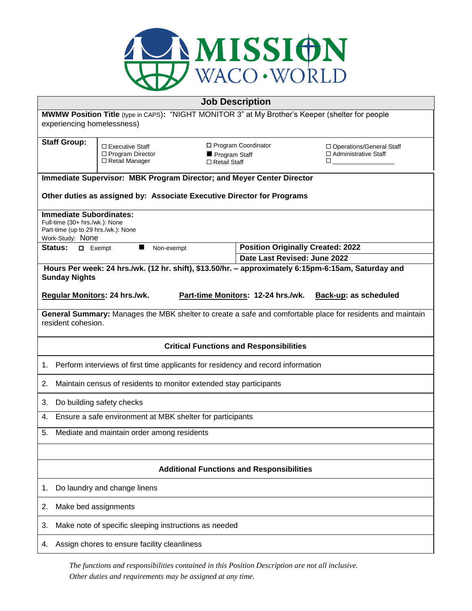

|                                                                                                                                  |                                                                  | <b>Job Description</b>                                        |                                                                                                                                                                                                                                                                                                                                        |  |
|----------------------------------------------------------------------------------------------------------------------------------|------------------------------------------------------------------|---------------------------------------------------------------|----------------------------------------------------------------------------------------------------------------------------------------------------------------------------------------------------------------------------------------------------------------------------------------------------------------------------------------|--|
| MWMW Position Title (type in CAPS): "NIGHT MONITOR 3" at My Brother's Keeper (shelter for people                                 |                                                                  |                                                               |                                                                                                                                                                                                                                                                                                                                        |  |
| experiencing homelessness)                                                                                                       |                                                                  |                                                               |                                                                                                                                                                                                                                                                                                                                        |  |
| <b>Staff Group:</b>                                                                                                              | $\Box$ Executive Staff<br>□ Program Director<br>□ Retail Manager | □ Program Coordinator<br>Program Staff<br>$\Box$ Retail Staff | □ Operations/General Staff<br>□ Administrative Staff<br>$\Box$ and $\Box$ and $\Box$ and $\Box$ and $\Box$ and $\Box$ and $\Box$ and $\Box$ and $\Box$ and $\Box$ and $\Box$ and $\Box$ and $\Box$ and $\Box$ and $\Box$ and $\Box$ and $\Box$ and $\Box$ and $\Box$ and $\Box$ and $\Box$ and $\Box$ and $\Box$ and $\Box$ and $\Box$ |  |
| Immediate Supervisor: MBK Program Director; and Meyer Center Director                                                            |                                                                  |                                                               |                                                                                                                                                                                                                                                                                                                                        |  |
| Other duties as assigned by: Associate Executive Director for Programs                                                           |                                                                  |                                                               |                                                                                                                                                                                                                                                                                                                                        |  |
| <b>Immediate Subordinates:</b><br>Full-time (30+ hrs./wk.): None<br>Part-time (up to 29 hrs./wk.): None<br>Work-Study: None      |                                                                  |                                                               |                                                                                                                                                                                                                                                                                                                                        |  |
| Status:<br>$\Box$ Exempt                                                                                                         | ш<br>Non-exempt                                                  |                                                               | <b>Position Originally Created: 2022</b>                                                                                                                                                                                                                                                                                               |  |
|                                                                                                                                  |                                                                  | Date Last Revised: June 2022                                  |                                                                                                                                                                                                                                                                                                                                        |  |
| Hours Per week: 24 hrs./wk. (12 hr. shift), \$13.50/hr. - approximately 6:15pm-6:15am, Saturday and<br><b>Sunday Nights</b>      |                                                                  |                                                               |                                                                                                                                                                                                                                                                                                                                        |  |
|                                                                                                                                  |                                                                  |                                                               |                                                                                                                                                                                                                                                                                                                                        |  |
| Regular Monitors: 24 hrs./wk.                                                                                                    |                                                                  | Part-time Monitors: 12-24 hrs./wk.                            | <b>Back-up: as scheduled</b>                                                                                                                                                                                                                                                                                                           |  |
| General Summary: Manages the MBK shelter to create a safe and comfortable place for residents and maintain<br>resident cohesion. |                                                                  |                                                               |                                                                                                                                                                                                                                                                                                                                        |  |
| <b>Critical Functions and Responsibilities</b>                                                                                   |                                                                  |                                                               |                                                                                                                                                                                                                                                                                                                                        |  |
| Perform interviews of first time applicants for residency and record information<br>1.                                           |                                                                  |                                                               |                                                                                                                                                                                                                                                                                                                                        |  |
| 2.<br>Maintain census of residents to monitor extended stay participants                                                         |                                                                  |                                                               |                                                                                                                                                                                                                                                                                                                                        |  |
| 3.<br>Do building safety checks                                                                                                  |                                                                  |                                                               |                                                                                                                                                                                                                                                                                                                                        |  |
| Ensure a safe environment at MBK shelter for participants<br>4.                                                                  |                                                                  |                                                               |                                                                                                                                                                                                                                                                                                                                        |  |
| Mediate and maintain order among residents<br>5.                                                                                 |                                                                  |                                                               |                                                                                                                                                                                                                                                                                                                                        |  |
|                                                                                                                                  |                                                                  |                                                               |                                                                                                                                                                                                                                                                                                                                        |  |
| <b>Additional Functions and Responsibilities</b>                                                                                 |                                                                  |                                                               |                                                                                                                                                                                                                                                                                                                                        |  |
| Do laundry and change linens<br>1.                                                                                               |                                                                  |                                                               |                                                                                                                                                                                                                                                                                                                                        |  |
| Make bed assignments<br>2.                                                                                                       |                                                                  |                                                               |                                                                                                                                                                                                                                                                                                                                        |  |
| Make note of specific sleeping instructions as needed<br>3.                                                                      |                                                                  |                                                               |                                                                                                                                                                                                                                                                                                                                        |  |
| Assign chores to ensure facility cleanliness<br>4.                                                                               |                                                                  |                                                               |                                                                                                                                                                                                                                                                                                                                        |  |

*The functions and responsibilities contained in this Position Description are not all inclusive. Other duties and requirements may be assigned at any time.*